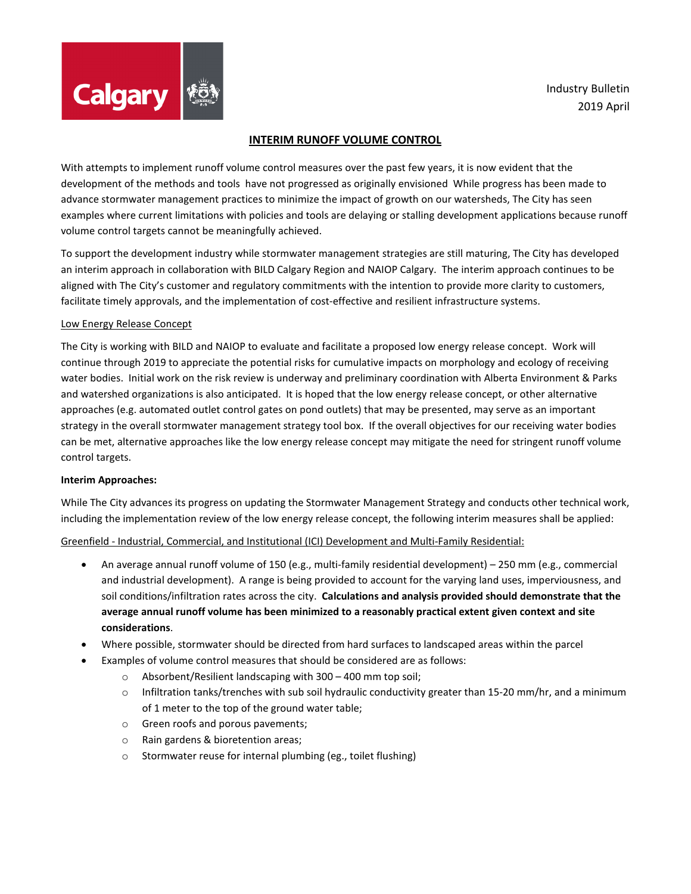

# **INTERIM RUNOFF VOLUME CONTROL**

With attempts to implement runoff volume control measures over the past few years, it is now evident that the development of the methods and tools have not progressed as originally envisioned While progress has been made to advance stormwater management practices to minimize the impact of growth on our watersheds, The City has seen examples where current limitations with policies and tools are delaying or stalling development applications because runoff volume control targets cannot be meaningfully achieved.

To support the development industry while stormwater management strategies are still maturing, The City has developed an interim approach in collaboration with BILD Calgary Region and NAIOP Calgary. The interim approach continues to be aligned with The City's customer and regulatory commitments with the intention to provide more clarity to customers, facilitate timely approvals, and the implementation of cost-effective and resilient infrastructure systems.

### Low Energy Release Concept

The City is working with BILD and NAIOP to evaluate and facilitate a proposed low energy release concept. Work will continue through 2019 to appreciate the potential risks for cumulative impacts on morphology and ecology of receiving water bodies. Initial work on the risk review is underway and preliminary coordination with Alberta Environment & Parks and watershed organizations is also anticipated. It is hoped that the low energy release concept, or other alternative approaches (e.g. automated outlet control gates on pond outlets) that may be presented, may serve as an important strategy in the overall stormwater management strategy tool box. If the overall objectives for our receiving water bodies can be met, alternative approaches like the low energy release concept may mitigate the need for stringent runoff volume control targets.

#### **Interim Approaches:**

While The City advances its progress on updating the Stormwater Management Strategy and conducts other technical work, including the implementation review of the low energy release concept, the following interim measures shall be applied:

# Greenfield - Industrial, Commercial, and Institutional (ICI) Development and Multi-Family Residential:

- An average annual runoff volume of 150 (e.g., multi-family residential development) 250 mm (e.g., commercial and industrial development). A range is being provided to account for the varying land uses, imperviousness, and soil conditions/infiltration rates across the city. **Calculations and analysis provided should demonstrate that the average annual runoff volume has been minimized to a reasonably practical extent given context and site considerations**.
- Where possible, stormwater should be directed from hard surfaces to landscaped areas within the parcel
- Examples of volume control measures that should be considered are as follows:
	- o Absorbent/Resilient landscaping with 300 400 mm top soil;
	- o Infiltration tanks/trenches with sub soil hydraulic conductivity greater than 15-20 mm/hr, and a minimum of 1 meter to the top of the ground water table;
	- o Green roofs and porous pavements;
	- o Rain gardens & bioretention areas;
	- o Stormwater reuse for internal plumbing (eg., toilet flushing)